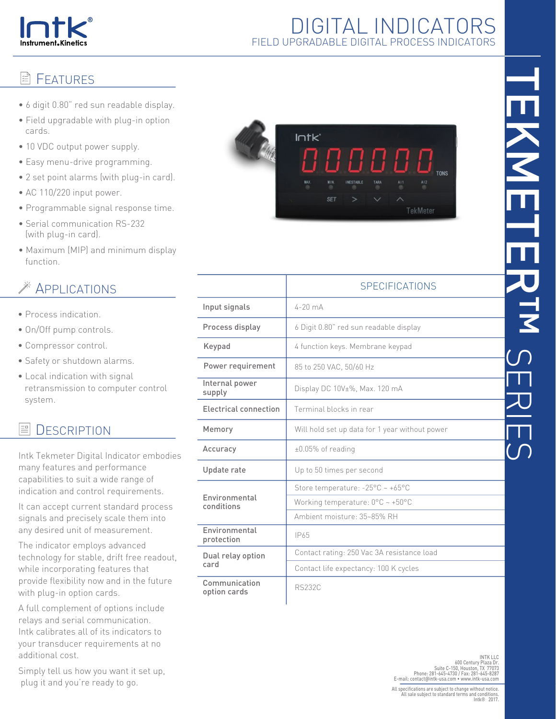

## DIGITAL INDICATORS FIELD UPGRADABLE DIGITAL PROCESS INDICATORS

### **E**FATURES

- 6 digit 0.80" red sun readable display.
- Field upgradable with plug-in option cards.
- 10 VDC output power supply.
- Easy menu-drive programming.
- 2 set point alarms (with plug-in card).
- AC 110/220 input power.
- Programmable signal response time.
- Serial communication RS-232 (with plug-in card).
- Maximum (MIP) and minimum display function.

# APPLICATIONS

- Process indication.
- On/Off pump controls.
- Compressor control.
- Safety or shutdown alarms.
- Local indication with signal retransmission to computer control system.

#### 昌 **DESCRIPTION**

Intk Tekmeter Digital Indicator embodies many features and performance capabilities to suit a wide range of indication and control requirements.

It can accept current standard process signals and precisely scale them into any desired unit of measurement.

The indicator employs advanced technology for stable, drift free readout, while incorporating features that provide flexibility now and in the future with plug-in option cards.

A full complement of options include relays and serial communication. Intk calibrates all of its indicators to your transducer requirements at no additional cost.

Simply tell us how you want it set up, plug it and you're ready to go.



|                               | <b>SPECIFICATIONS</b>                                |
|-------------------------------|------------------------------------------------------|
| Input signals                 | $4-20$ mA                                            |
| Process display               | 6 Digit 0.80" red sun readable display               |
| Keypad                        | 4 function keys. Membrane keypad                     |
| Power requirement             | 85 to 250 VAC, 50/60 Hz                              |
| Internal power<br>supply      | Display DC 10V±%, Max. 120 mA                        |
| Electrical connection         | Terminal blocks in rear                              |
| Memory                        | Will hold set up data for 1 year without power       |
| Accuracy                      | $±0.05%$ of reading                                  |
| Update rate                   | Up to 50 times per second                            |
| Environmental<br>conditions   | Store temperature: $-25^{\circ}$ C ~ $+65^{\circ}$ C |
|                               | Working temperature: $0^{\circ}$ C ~ +50°C           |
|                               | Ambient moisture: 35~85% RH                          |
| Environmental<br>protection   | IP65                                                 |
| Dual relay option<br>card     | Contact rating: 250 Vac 3A resistance load           |
|                               | Contact life expectancy: 100 K cycles                |
| Communication<br>option cards | <b>RS232C</b>                                        |

INT LLC<br>INTK LLC<br>600 Century Plaza Dr.<br>Phone: 281-645-4730 / Fax: 281-645-4731<br>E-mail: contact@intk-usa.com • www.intk-usa.com<br>E-mail: contact@intk-usa.com • www.intk-usa.com

All specifications are subject to change without notice. All sale subject to standard terms and conditions. Intk® 2017.